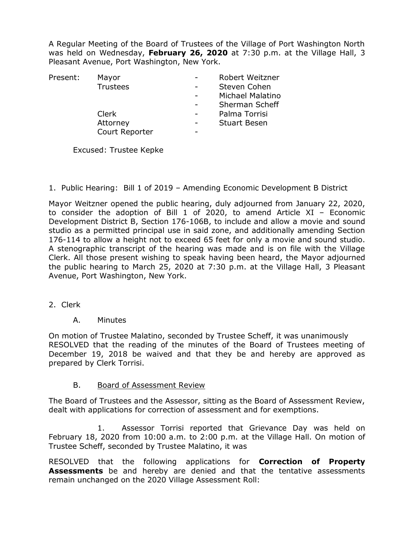A Regular Meeting of the Board of Trustees of the Village of Port Washington North was held on Wednesday, **February 26, 2020** at 7:30 p.m. at the Village Hall, 3 Pleasant Avenue, Port Washington, New York.

| Present: | Mayor           | Robert Weitzner     |
|----------|-----------------|---------------------|
|          | <b>Trustees</b> | Steven Cohen        |
|          |                 | Michael Malatino    |
|          |                 | Sherman Scheff      |
|          | Clerk           | Palma Torrisi       |
|          | Attorney        | <b>Stuart Besen</b> |
|          | Court Reporter  |                     |

Excused: Trustee Kepke

1. Public Hearing: Bill 1 of 2019 – Amending Economic Development B District

Mayor Weitzner opened the public hearing, duly adjourned from January 22, 2020, to consider the adoption of Bill 1 of 2020, to amend Article XI – Economic Development District B, Section 176-106B, to include and allow a movie and sound studio as a permitted principal use in said zone, and additionally amending Section 176-114 to allow a height not to exceed 65 feet for only a movie and sound studio. A stenographic transcript of the hearing was made and is on file with the Village Clerk. All those present wishing to speak having been heard, the Mayor adjourned the public hearing to March 25, 2020 at 7:30 p.m. at the Village Hall, 3 Pleasant Avenue, Port Washington, New York.

- 2. Clerk
	- A. Minutes

On motion of Trustee Malatino, seconded by Trustee Scheff, it was unanimously RESOLVED that the reading of the minutes of the Board of Trustees meeting of December 19, 2018 be waived and that they be and hereby are approved as prepared by Clerk Torrisi.

B. Board of Assessment Review

The Board of Trustees and the Assessor, sitting as the Board of Assessment Review, dealt with applications for correction of assessment and for exemptions.

1. Assessor Torrisi reported that Grievance Day was held on February 18, 2020 from 10:00 a.m. to 2:00 p.m. at the Village Hall. On motion of Trustee Scheff, seconded by Trustee Malatino, it was

RESOLVED that the following applications for **Correction of Property Assessments** be and hereby are denied and that the tentative assessments remain unchanged on the 2020 Village Assessment Roll: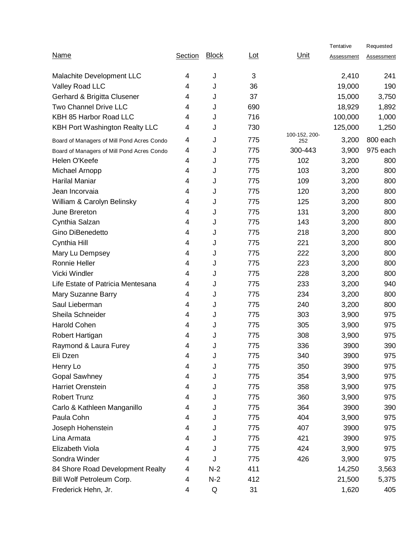|                                            |                         |              |                 |                      | Tentative  | Requested         |
|--------------------------------------------|-------------------------|--------------|-----------------|----------------------|------------|-------------------|
| <b>Name</b>                                | Section                 | <b>Block</b> | $_{\text{Lot}}$ | Unit                 | Assessment | <u>Assessment</u> |
| Malachite Development LLC                  | 4                       | J            | 3               |                      | 2,410      | 241               |
| Valley Road LLC                            | 4                       | J            | 36              |                      | 19,000     | 190               |
| Gerhard & Brigitta Clusener                | 4                       | J            | 37              |                      | 15,000     | 3,750             |
| <b>Two Channel Drive LLC</b>               | 4                       | J            | 690             |                      | 18,929     | 1,892             |
| KBH 85 Harbor Road LLC                     | 4                       | J            | 716             |                      | 100,000    | 1,000             |
| KBH Port Washington Realty LLC             | 4                       | J            | 730             |                      | 125,000    | 1,250             |
| Board of Managers of Mill Pond Acres Condo | 4                       | J            | 775             | 100-152, 200-<br>252 | 3,200      | 800 each          |
| Board of Managers of Mill Pond Acres Condo | 4                       | J            | 775             | 300-443              | 3,900      | 975 each          |
| Helen O'Keefe                              | 4                       | J            | 775             | 102                  | 3,200      | 800               |
| Michael Arnopp                             | 4                       | J            | 775             | 103                  | 3,200      | 800               |
| <b>Harilal Maniar</b>                      | 4                       | J            | 775             | 109                  | 3,200      | 800               |
| Jean Incorvaia                             | 4                       | J            | 775             | 120                  | 3,200      | 800               |
| William & Carolyn Belinsky                 | 4                       | J            | 775             | 125                  | 3,200      | 800               |
| June Brereton                              | 4                       | J            | 775             | 131                  | 3,200      | 800               |
| Cynthia Salzan                             | 4                       | J            | 775             | 143                  | 3,200      | 800               |
| Gino DiBenedetto                           | 4                       | J            | 775             | 218                  | 3,200      | 800               |
| Cynthia Hill                               | 4                       | J            | 775             | 221                  | 3,200      | 800               |
| Mary Lu Dempsey                            | 4                       | J            | 775             | 222                  | 3,200      | 800               |
| Ronnie Heller                              | $\overline{\mathbf{4}}$ | J            | 775             | 223                  | 3,200      | 800               |
| Vicki Windler                              | 4                       | J            | 775             | 228                  | 3,200      | 800               |
| Life Estate of Patricia Mentesana          | 4                       | J            | 775             | 233                  | 3,200      | 940               |
| Mary Suzanne Barry                         | 4                       | J            | 775             | 234                  | 3,200      | 800               |
| Saul Lieberman                             | 4                       | J            | 775             | 240                  | 3,200      | 800               |
| Sheila Schneider                           | 4                       | J            | 775             | 303                  | 3,900      | 975               |
| <b>Harold Cohen</b>                        | 4                       | J            | 775             | 305                  | 3,900      | 975               |
| Robert Hartigan                            | 4                       | J            | 775             | 308                  | 3,900      | 975               |
| Raymond & Laura Furey                      | 4                       | J            | 775             | 336                  | 3900       | 390               |
| Eli Dzen                                   | 4                       | J            | 775             | 340                  | 3900       | 975               |
| Henry Lo                                   | 4                       | J            | 775             | 350                  | 3900       | 975               |
| <b>Gopal Sawhney</b>                       | 4                       | J            | 775             | 354                  | 3,900      | 975               |
| Harriet Orenstein                          | 4                       | J            | 775             | 358                  | 3,900      | 975               |
| <b>Robert Trunz</b>                        | $\overline{\mathbf{4}}$ | J            | 775             | 360                  | 3,900      | 975               |
| Carlo & Kathleen Manganillo                | 4                       | J            | 775             | 364                  | 3900       | 390               |
| Paula Cohn                                 | 4                       | J            | 775             | 404                  | 3,900      | 975               |
| Joseph Hohenstein                          | 4                       | J            | 775             | 407                  | 3900       | 975               |
| Lina Armata                                | $\overline{\mathbf{4}}$ | J            | 775             | 421                  | 3900       | 975               |
| Elizabeth Viola                            | 4                       | J            | 775             | 424                  | 3,900      | 975               |
| Sondra Winder                              | 4                       | J            | 775             | 426                  | 3,900      | 975               |
| 84 Shore Road Development Realty           | 4                       | $N-2$        | 411             |                      | 14,250     | 3,563             |
| Bill Wolf Petroleum Corp.                  | 4                       | $N-2$        | 412             |                      | 21,500     | 5,375             |
| Frederick Hehn, Jr.                        | 4                       | Q            | 31              |                      | 1,620      | 405               |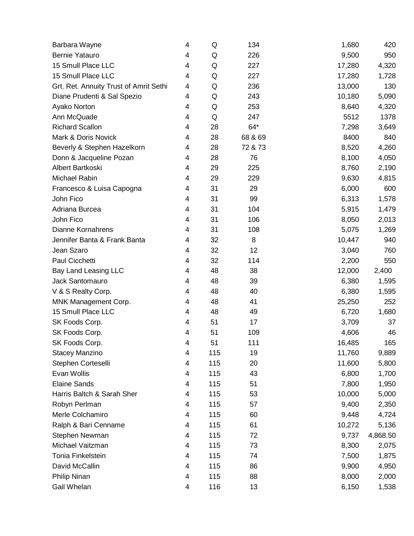| Barbara Wayne                          | 4                       | Q   | 134     | 1,680  | 420      |
|----------------------------------------|-------------------------|-----|---------|--------|----------|
| Bernie Yatauro                         | $\overline{4}$          | Q   | 226     | 9,500  | 950      |
| 15 Smull Place LLC                     | 4                       | Q   | 227     | 17,280 | 4,320    |
| 15 Smull Place LLC                     | $\overline{4}$          | Q   | 227     | 17,280 | 1,728    |
| Grt. Ret. Annuity Trust of Amrit Sethi | 4                       | Q   | 236     | 13,000 | 130      |
| Diane Prudenti & Sal Spezio            | 4                       | Q   | 243     | 10,180 | 5,090    |
| Ayako Norton                           | 4                       | Q   | 253     | 8,640  | 4,320    |
| Ann McQuade                            | 4                       | Q   | 247     | 5512   | 1378     |
| <b>Richard Scallon</b>                 | 4                       | 28  | $64*$   | 7,298  | 3,649    |
| Mark & Doris Novick                    | 4                       | 28  | 68 & 69 | 8400   | 840      |
| Beverly & Stephen Hazelkorn            | 4                       | 28  | 72 & 73 | 8,520  | 4,260    |
| Donn & Jacqueline Pozan                | 4                       | 28  | 76      | 8,100  | 4,050    |
| Albert Bartkoski                       | 4                       | 29  | 225     | 8,760  | 2,190    |
| Michael Rabin                          | 4                       | 29  | 229     | 9,630  | 4,815    |
| Francesco & Luisa Capogna              | 4                       | 31  | 29      | 6,000  | 600      |
| John Fico                              | 4                       | 31  | 99      | 6,313  | 1,578    |
| Adriana Burcea                         | 4                       | 31  | 104     | 5,915  | 1,479    |
| John Fico                              | 4                       | 31  | 106     | 8,050  | 2,013    |
| <b>Dianne Kornahrens</b>               | 4                       | 31  | 108     | 5,075  | 1,269    |
| Jennifer Banta & Frank Banta           | 4                       | 32  | 8       | 10,447 | 940      |
| Jean Szaro                             | $\overline{4}$          | 32  | 12      | 3,040  | 760      |
| Paul Cicchetti                         | 4                       | 32  | 114     | 2,200  | 550      |
| Bay Land Leasing LLC                   | 4                       | 48  | 38      | 12,000 | 2,400    |
| Jack Santomauro                        | 4                       | 48  | 39      | 6,380  | 1,595    |
| V & S Realty Corp.                     | 4                       | 48  | 40      | 6,380  | 1,595    |
| MNK Management Corp.                   | 4                       | 48  | 41      | 25,250 | 252      |
| 15 Smull Place LLC                     | 4                       | 48  | 49      | 6,720  | 1,680    |
| SK Foods Corp.                         | 4                       | 51  | 17      | 3,709  | 37       |
| SK Foods Corp.                         | $\overline{4}$          | 51  | 109     | 4,606  | 46       |
| SK Foods Corp.                         | 4                       | 51  | 111     | 16,485 | 165      |
| Stacey Manzino                         | 4                       | 115 | 19      | 11,760 | 9,889    |
| Stephen Corteselli                     | 4                       | 115 | 20      | 11,600 | 5,800    |
| Evan Wollis                            | 4                       | 115 | 43      | 6,800  | 1,700    |
| <b>Elaine Sands</b>                    | $\overline{\mathbf{4}}$ | 115 | 51      | 7,800  | 1,950    |
| Harris Baltch & Sarah Sher             | 4                       | 115 | 53      | 10,000 | 5,000    |
| Robyn Perlman                          | 4                       | 115 | 57      | 9,400  | 2,350    |
| Merle Colchamiro                       | 4                       | 115 | 60      | 9,448  | 4,724    |
| Ralph & Bari Cenname                   | $\overline{\mathbf{4}}$ | 115 | 61      | 10,272 | 5,136    |
| Stephen Newman                         | 4                       | 115 | 72      | 9,737  | 4,868.50 |
| Michael Vaitzman                       | 4                       | 115 | 73      | 8,300  | 2,075    |
| Tonia Finkelstein                      | 4                       | 115 | 74      | 7,500  | 1,875    |
| David McCallin                         | 4                       | 115 | 86      | 9,900  | 4,950    |
| Philip Ninan                           | 4                       | 115 | 88      | 8,000  | 2,000    |
| Gail Whelan                            | 4                       | 116 | 13      | 6,150  | 1,538    |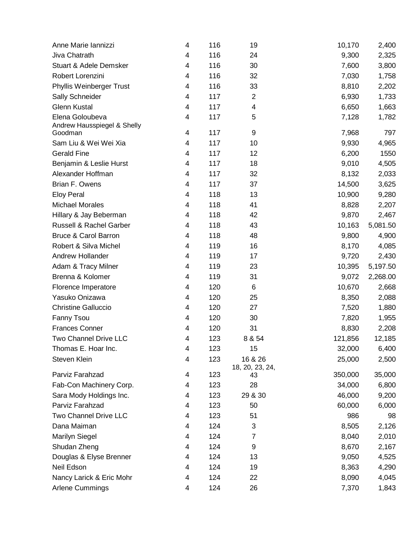| Anne Marie Iannizzi                    | 4 | 116 | 19                         | 10,170  | 2,400    |
|----------------------------------------|---|-----|----------------------------|---------|----------|
| Jiva Chatrath                          | 4 | 116 | 24                         | 9,300   | 2,325    |
| <b>Stuart &amp; Adele Demsker</b>      | 4 | 116 | 30                         | 7,600   | 3,800    |
| Robert Lorenzini                       | 4 | 116 | 32                         | 7,030   | 1,758    |
| Phyllis Weinberger Trust               | 4 | 116 | 33                         | 8,810   | 2,202    |
| Sally Schneider                        | 4 | 117 | $\overline{c}$             | 6,930   | 1,733    |
| <b>Glenn Kustal</b>                    | 4 | 117 | $\overline{\mathcal{A}}$   | 6,650   | 1,663    |
| Elena Goloubeva                        | 4 | 117 | 5                          | 7,128   | 1,782    |
| Andrew Hausspiegel & Shelly<br>Goodman | 4 | 117 | 9                          | 7,968   | 797      |
| Sam Liu & Wei Wei Xia                  | 4 | 117 | 10                         | 9,930   | 4,965    |
| <b>Gerald Fine</b>                     | 4 | 117 | 12                         | 6,200   | 1550     |
| Benjamin & Leslie Hurst                | 4 | 117 | 18                         | 9,010   | 4,505    |
| Alexander Hoffman                      | 4 | 117 | 32                         | 8,132   | 2,033    |
| Brian F. Owens                         | 4 | 117 | 37                         | 14,500  | 3,625    |
| <b>Eloy Peral</b>                      | 4 | 118 | 13                         | 10,900  | 9,280    |
| <b>Michael Morales</b>                 | 4 | 118 | 41                         | 8,828   | 2,207    |
| Hillary & Jay Beberman                 | 4 | 118 | 42                         | 9,870   | 2,467    |
| <b>Russell &amp; Rachel Garber</b>     | 4 | 118 | 43                         | 10,163  | 5,081.50 |
| <b>Bruce &amp; Carol Barron</b>        | 4 | 118 | 48                         | 9,800   | 4,900    |
| Robert & Silva Michel                  | 4 | 119 | 16                         | 8,170   | 4,085    |
| Andrew Hollander                       | 4 | 119 | 17                         | 9,720   | 2,430    |
| Adam & Tracy Milner                    | 4 | 119 | 23                         | 10,395  | 5,197.50 |
| Brenna & Kolomer                       | 4 | 119 | 31                         | 9,072   | 2,268.00 |
| Florence Imperatore                    | 4 | 120 | 6                          | 10,670  | 2,668    |
| Yasuko Onizawa                         | 4 | 120 | 25                         | 8,350   | 2,088    |
| <b>Christine Galluccio</b>             | 4 | 120 | 27                         | 7,520   | 1,880    |
| <b>Fanny Tsou</b>                      | 4 | 120 | 30                         | 7,820   | 1,955    |
| <b>Frances Conner</b>                  | 4 | 120 | 31                         | 8,830   | 2,208    |
| Two Channel Drive LLC                  | 4 | 123 | 8 & 54                     | 121,856 | 12,185   |
| Thomas E. Hoar Inc.                    | 4 | 123 | 15                         | 32,000  | 6,400    |
| Steven Klein                           | 4 | 123 | 16 & 26<br>18, 20, 23, 24, | 25,000  | 2,500    |
| Parviz Farahzad                        | 4 | 123 | 43                         | 350,000 | 35,000   |
| Fab-Con Machinery Corp.                | 4 | 123 | 28                         | 34,000  | 6,800    |
| Sara Mody Holdings Inc.                | 4 | 123 | 29 & 30                    | 46,000  | 9,200    |
| Parviz Farahzad                        | 4 | 123 | 50                         | 60,000  | 6,000    |
| Two Channel Drive LLC                  | 4 | 123 | 51                         | 986     | 98       |
| Dana Maiman                            | 4 | 124 | 3                          | 8,505   | 2,126    |
| <b>Marilyn Siegel</b>                  | 4 | 124 | $\overline{7}$             | 8,040   | 2,010    |
| Shudan Zheng                           | 4 | 124 | 9                          | 8,670   | 2,167    |
| Douglas & Elyse Brenner                | 4 | 124 | 13                         | 9,050   | 4,525    |
| Neil Edson                             | 4 | 124 | 19                         | 8,363   | 4,290    |
| Nancy Larick & Eric Mohr               | 4 | 124 | 22                         | 8,090   | 4,045    |
| Arlene Cummings                        | 4 | 124 | 26                         | 7,370   | 1,843    |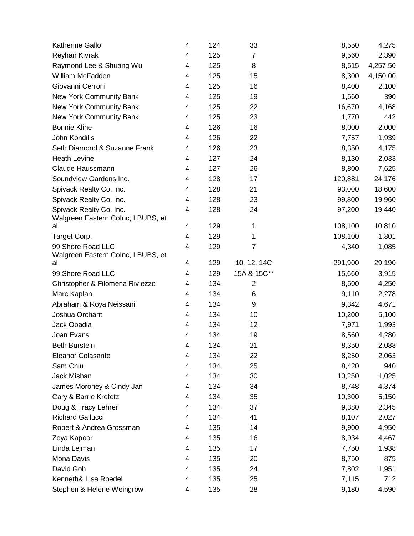| <b>Katherine Gallo</b>                                 | 4                       | 124 | 33             | 8,550   | 4,275    |
|--------------------------------------------------------|-------------------------|-----|----------------|---------|----------|
| Reyhan Kivrak                                          | $\overline{\mathbf{4}}$ | 125 | $\overline{7}$ | 9,560   | 2,390    |
| Raymond Lee & Shuang Wu                                | 4                       | 125 | 8              | 8,515   | 4,257.50 |
| William McFadden                                       | 4                       | 125 | 15             | 8,300   | 4,150.00 |
| Giovanni Cerroni                                       | $\overline{\mathbf{4}}$ | 125 | 16             | 8,400   | 2,100    |
| New York Community Bank                                | 4                       | 125 | 19             | 1,560   | 390      |
| New York Community Bank                                | 4                       | 125 | 22             | 16,670  | 4,168    |
| New York Community Bank                                | 4                       | 125 | 23             | 1,770   | 442      |
| <b>Bonnie Kline</b>                                    | 4                       | 126 | 16             | 8,000   | 2,000    |
| John Kondilis                                          | 4                       | 126 | 22             | 7,757   | 1,939    |
| Seth Diamond & Suzanne Frank                           | 4                       | 126 | 23             | 8,350   | 4,175    |
| <b>Heath Levine</b>                                    | 4                       | 127 | 24             | 8,130   | 2,033    |
| Claude Haussmann                                       | 4                       | 127 | 26             | 8,800   | 7,625    |
| Soundview Gardens Inc.                                 | 4                       | 128 | 17             | 120,881 | 24,176   |
| Spivack Realty Co. Inc.                                | 4                       | 128 | 21             | 93,000  | 18,600   |
| Spivack Realty Co. Inc.                                | 4                       | 128 | 23             | 99,800  | 19,960   |
| Spivack Realty Co. Inc.                                | $\overline{\mathbf{4}}$ | 128 | 24             | 97,200  | 19,440   |
| Walgreen Eastern Colnc, LBUBS, et                      |                         |     |                |         |          |
| al                                                     | 4                       | 129 | 1              | 108,100 | 10,810   |
| Target Corp.                                           | $\overline{\mathbf{4}}$ | 129 | 1              | 108,100 | 1,801    |
| 99 Shore Road LLC<br>Walgreen Eastern Colnc, LBUBS, et | $\overline{\mathbf{4}}$ | 129 | 7              | 4,340   | 1,085    |
| al                                                     | 4                       | 129 | 10, 12, 14C    | 291,900 | 29,190   |
| 99 Shore Road LLC                                      | $\overline{4}$          | 129 | 15A & 15C**    | 15,660  | 3,915    |
| Christopher & Filomena Riviezzo                        | 4                       | 134 | $\overline{c}$ | 8,500   | 4,250    |
| Marc Kaplan                                            | 4                       | 134 | 6              | 9,110   | 2,278    |
| Abraham & Roya Neissani                                | 4                       | 134 | 9              | 9,342   | 4,671    |
| Joshua Orchant                                         | 4                       | 134 | 10             | 10,200  | 5,100    |
| Jack Obadia                                            | 4                       | 134 | 12             | 7,971   | 1,993    |
| Joan Evans                                             | 4                       | 134 | 19             | 8,560   | 4,280    |
| <b>Beth Burstein</b>                                   | 4                       | 134 | 21             | 8,350   | 2,088    |
| <b>Eleanor Colasante</b>                               | 4                       | 134 | 22             | 8,250   | 2,063    |
| Sam Chiu                                               | 4                       | 134 | 25             | 8,420   | 940      |
| Jack Mishan                                            | 4                       | 134 | 30             | 10,250  | 1,025    |
| James Moroney & Cindy Jan                              | 4                       | 134 | 34             | 8,748   | 4,374    |
| Cary & Barrie Krefetz                                  | 4                       | 134 | 35             | 10,300  | 5,150    |
| Doug & Tracy Lehrer                                    | 4                       | 134 | 37             | 9,380   | 2,345    |
| <b>Richard Gallucci</b>                                | $\overline{\mathbf{4}}$ | 134 | 41             | 8,107   | 2,027    |
| Robert & Andrea Grossman                               | 4                       | 135 | 14             | 9,900   | 4,950    |
| Zoya Kapoor                                            | 4                       | 135 | 16             | 8,934   | 4,467    |
| Linda Lejman                                           | 4                       | 135 | 17             | 7,750   | 1,938    |
| Mona Davis                                             | 4                       | 135 | 20             | 8,750   | 875      |
| David Goh                                              | 4                       | 135 | 24             | 7,802   | 1,951    |
| Kenneth& Lisa Roedel                                   | 4                       | 135 | 25             | 7,115   | 712      |
| Stephen & Helene Weingrow                              | 4                       | 135 | 28             | 9,180   | 4,590    |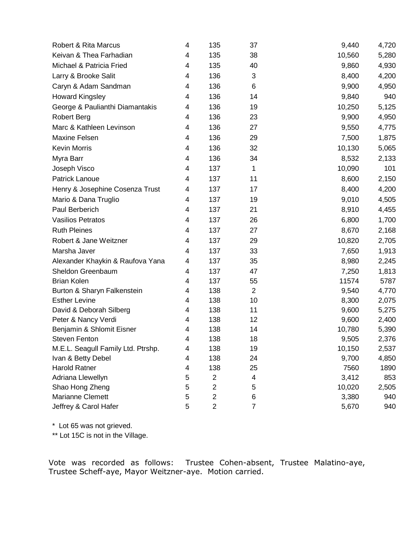| Robert & Rita Marcus               | 4 | 135            | 37             | 9,440  | 4,720 |
|------------------------------------|---|----------------|----------------|--------|-------|
| Keivan & Thea Farhadian            | 4 | 135            | 38             | 10,560 | 5,280 |
| Michael & Patricia Fried           | 4 | 135            | 40             | 9,860  | 4,930 |
| Larry & Brooke Salit               | 4 | 136            | 3              | 8,400  | 4,200 |
| Caryn & Adam Sandman               | 4 | 136            | 6              | 9,900  | 4,950 |
| <b>Howard Kingsley</b>             | 4 | 136            | 14             | 9,840  | 940   |
| George & Paulianthi Diamantakis    | 4 | 136            | 19             | 10,250 | 5,125 |
| <b>Robert Berg</b>                 | 4 | 136            | 23             | 9,900  | 4,950 |
| Marc & Kathleen Levinson           | 4 | 136            | 27             | 9,550  | 4,775 |
| Maxine Felsen                      | 4 | 136            | 29             | 7,500  | 1,875 |
| <b>Kevin Morris</b>                | 4 | 136            | 32             | 10,130 | 5,065 |
| Myra Barr                          | 4 | 136            | 34             | 8,532  | 2,133 |
| Joseph Visco                       | 4 | 137            | 1              | 10,090 | 101   |
| Patrick Lanoue                     | 4 | 137            | 11             | 8,600  | 2,150 |
| Henry & Josephine Cosenza Trust    | 4 | 137            | 17             | 8,400  | 4,200 |
| Mario & Dana Truglio               | 4 | 137            | 19             | 9,010  | 4,505 |
| Paul Berberich                     | 4 | 137            | 21             | 8,910  | 4,455 |
| <b>Vasilios Petratos</b>           | 4 | 137            | 26             | 6,800  | 1,700 |
| <b>Ruth Pleines</b>                | 4 | 137            | 27             | 8,670  | 2,168 |
| Robert & Jane Weitzner             | 4 | 137            | 29             | 10,820 | 2,705 |
| Marsha Javer                       | 4 | 137            | 33             | 7,650  | 1,913 |
| Alexander Khaykin & Raufova Yana   | 4 | 137            | 35             | 8,980  | 2,245 |
| Sheldon Greenbaum                  | 4 | 137            | 47             | 7,250  | 1,813 |
| <b>Brian Kolen</b>                 | 4 | 137            | 55             | 11574  | 5787  |
| Burton & Sharyn Falkenstein        | 4 | 138            | $\overline{2}$ | 9,540  | 4,770 |
| <b>Esther Levine</b>               | 4 | 138            | 10             | 8,300  | 2,075 |
| David & Deborah Silberg            | 4 | 138            | 11             | 9,600  | 5,275 |
| Peter & Nancy Verdi                | 4 | 138            | 12             | 9,600  | 2,400 |
| Benjamin & Shlomit Eisner          | 4 | 138            | 14             | 10,780 | 5,390 |
| <b>Steven Fenton</b>               | 4 | 138            | 18             | 9,505  | 2,376 |
| M.E.L. Seagull Family Ltd. Ptrshp. | 4 | 138            | 19             | 10,150 | 2,537 |
| Ivan & Betty Debel                 | 4 | 138            | 24             | 9,700  | 4,850 |
| <b>Harold Ratner</b>               | 4 | 138            | 25             | 7560   | 1890  |
| Adriana Llewellyn                  | 5 | $\overline{c}$ | 4              | 3,412  | 853   |
| Shao Hong Zheng                    | 5 | $\overline{2}$ | $\mathbf 5$    | 10,020 | 2,505 |
| <b>Marianne Clemett</b>            | 5 | $\overline{2}$ | 6              | 3,380  | 940   |
| Jeffrey & Carol Hafer              | 5 | $\overline{2}$ | $\overline{7}$ | 5,670  | 940   |

\* Lot 65 was not grieved.

\*\* Lot 15C is not in the Village.

Vote was recorded as follows: Trustee Cohen-absent, Trustee Malatino-aye, Trustee Scheff-aye, Mayor Weitzner-aye. Motion carried.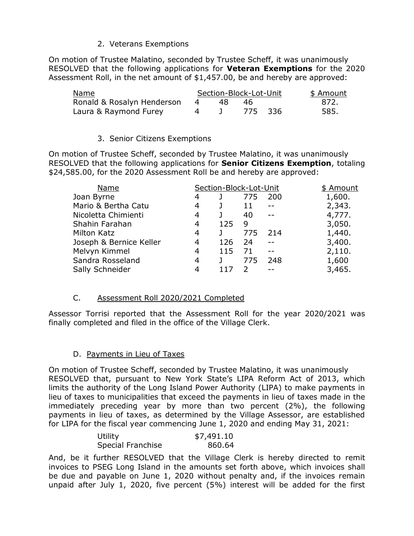## 2. Veterans Exemptions

On motion of Trustee Malatino, seconded by Trustee Scheff, it was unanimously RESOLVED that the following applications for **Veteran Exemptions** for the 2020 Assessment Roll, in the net amount of \$1,457.00, be and hereby are approved:

| <u>Name</u>                |   |    | Section-Block-Lot-Unit | \$ Amount |
|----------------------------|---|----|------------------------|-----------|
| Ronald & Rosalyn Henderson | 4 | 48 | 46.                    | -872.     |
| Laura & Raymond Furey      |   |    | - 775 - 336            | 585.      |

### 3. Senior Citizens Exemptions

On motion of Trustee Scheff, seconded by Trustee Malatino, it was unanimously RESOLVED that the following applications for **Senior Citizens Exemption**, totaling \$24,585.00, for the 2020 Assessment Roll be and hereby are approved:

| Name                    |   | Section-Block-Lot-Unit |     |     | \$ Amount |
|-------------------------|---|------------------------|-----|-----|-----------|
| Joan Byrne              | 4 |                        | 775 | 200 | 1,600.    |
| Mario & Bertha Catu     | 4 |                        | 11  | --  | 2,343.    |
| Nicoletta Chimienti     | 4 |                        | 40  |     | 4,777.    |
| Shahin Farahan          | 4 | 125                    | 9   |     | 3,050.    |
| <b>Milton Katz</b>      | 4 |                        | 775 | 214 | 1,440.    |
| Joseph & Bernice Keller | 4 | 126                    | 24  |     | 3,400.    |
| Melvyn Kimmel           | 4 | 115                    | 71  |     | 2,110.    |
| Sandra Rosseland        | 4 |                        | 775 | 248 | 1,600     |
| Sally Schneider         | 4 |                        |     |     | 3,465.    |

### C. Assessment Roll 2020/2021 Completed

Assessor Torrisi reported that the Assessment Roll for the year 2020/2021 was finally completed and filed in the office of the Village Clerk.

### D. Payments in Lieu of Taxes

On motion of Trustee Scheff, seconded by Trustee Malatino, it was unanimously RESOLVED that, pursuant to New York State's LIPA Reform Act of 2013, which limits the authority of the Long Island Power Authority (LIPA) to make payments in lieu of taxes to municipalities that exceed the payments in lieu of taxes made in the immediately preceding year by more than two percent (2%), the following payments in lieu of taxes, as determined by the Village Assessor, are established for LIPA for the fiscal year commencing June 1, 2020 and ending May 31, 2021:

| Utility           | \$7,491.10 |
|-------------------|------------|
| Special Franchise | 860.64     |

And, be it further RESOLVED that the Village Clerk is hereby directed to remit invoices to PSEG Long Island in the amounts set forth above, which invoices shall be due and payable on June 1, 2020 without penalty and, if the invoices remain unpaid after July 1, 2020, five percent (5%) interest will be added for the first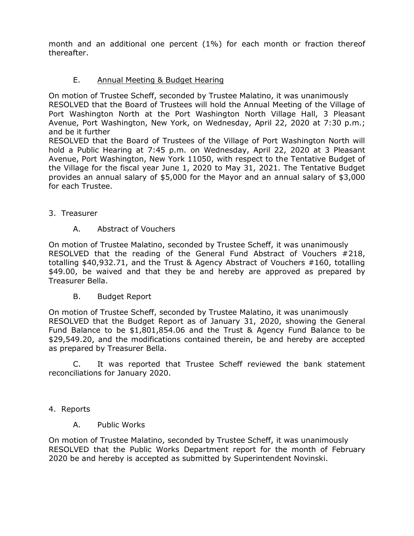month and an additional one percent (1%) for each month or fraction thereof thereafter.

## E. Annual Meeting & Budget Hearing

On motion of Trustee Scheff, seconded by Trustee Malatino, it was unanimously RESOLVED that the Board of Trustees will hold the Annual Meeting of the Village of Port Washington North at the Port Washington North Village Hall, 3 Pleasant Avenue, Port Washington, New York, on Wednesday, April 22, 2020 at 7:30 p.m.; and be it further

RESOLVED that the Board of Trustees of the Village of Port Washington North will hold a Public Hearing at 7:45 p.m. on Wednesday, April 22, 2020 at 3 Pleasant Avenue, Port Washington, New York 11050, with respect to the Tentative Budget of the Village for the fiscal year June 1, 2020 to May 31, 2021. The Tentative Budget provides an annual salary of \$5,000 for the Mayor and an annual salary of \$3,000 for each Trustee.

3. Treasurer

### A. Abstract of Vouchers

On motion of Trustee Malatino, seconded by Trustee Scheff, it was unanimously RESOLVED that the reading of the General Fund Abstract of Vouchers #218, totalling \$40,932.71, and the Trust & Agency Abstract of Vouchers #160, totalling \$49.00, be waived and that they be and hereby are approved as prepared by Treasurer Bella.

B. Budget Report

On motion of Trustee Scheff, seconded by Trustee Malatino, it was unanimously RESOLVED that the Budget Report as of January 31, 2020, showing the General Fund Balance to be \$1,801,854.06 and the Trust & Agency Fund Balance to be \$29,549.20, and the modifications contained therein, be and hereby are accepted as prepared by Treasurer Bella.

C. It was reported that Trustee Scheff reviewed the bank statement reconciliations for January 2020.

- 4. Reports
	- A. Public Works

On motion of Trustee Malatino, seconded by Trustee Scheff, it was unanimously RESOLVED that the Public Works Department report for the month of February 2020 be and hereby is accepted as submitted by Superintendent Novinski.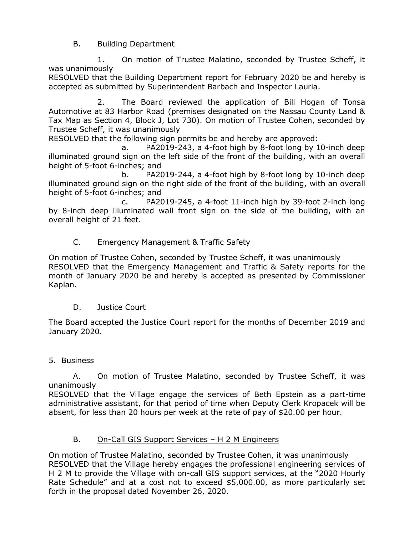B. Building Department

1. On motion of Trustee Malatino, seconded by Trustee Scheff, it was unanimously

RESOLVED that the Building Department report for February 2020 be and hereby is accepted as submitted by Superintendent Barbach and Inspector Lauria.

2. The Board reviewed the application of Bill Hogan of Tonsa Automotive at 83 Harbor Road (premises designated on the Nassau County Land & Tax Map as Section 4, Block J, Lot 730). On motion of Trustee Cohen, seconded by Trustee Scheff, it was unanimously

RESOLVED that the following sign permits be and hereby are approved:

a. PA2019-243, a 4-foot high by 8-foot long by 10-inch deep illuminated ground sign on the left side of the front of the building, with an overall height of 5-foot 6-inches; and

b. PA2019-244, a 4-foot high by 8-foot long by 10-inch deep illuminated ground sign on the right side of the front of the building, with an overall height of 5-foot 6-inches; and

c. PA2019-245, a 4-foot 11-inch high by 39-foot 2-inch long by 8-inch deep illuminated wall front sign on the side of the building, with an overall height of 21 feet.

C. Emergency Management & Traffic Safety

On motion of Trustee Cohen, seconded by Trustee Scheff, it was unanimously RESOLVED that the Emergency Management and Traffic & Safety reports for the month of January 2020 be and hereby is accepted as presented by Commissioner Kaplan.

D. Justice Court

The Board accepted the Justice Court report for the months of December 2019 and January 2020.

5. Business

A. On motion of Trustee Malatino, seconded by Trustee Scheff, it was unanimously

RESOLVED that the Village engage the services of Beth Epstein as a part-time administrative assistant, for that period of time when Deputy Clerk Kropacek will be absent, for less than 20 hours per week at the rate of pay of \$20.00 per hour.

# B. On-Call GIS Support Services – H 2 M Engineers

On motion of Trustee Malatino, seconded by Trustee Cohen, it was unanimously RESOLVED that the Village hereby engages the professional engineering services of H 2 M to provide the Village with on-call GIS support services, at the "2020 Hourly Rate Schedule" and at a cost not to exceed \$5,000.00, as more particularly set forth in the proposal dated November 26, 2020.